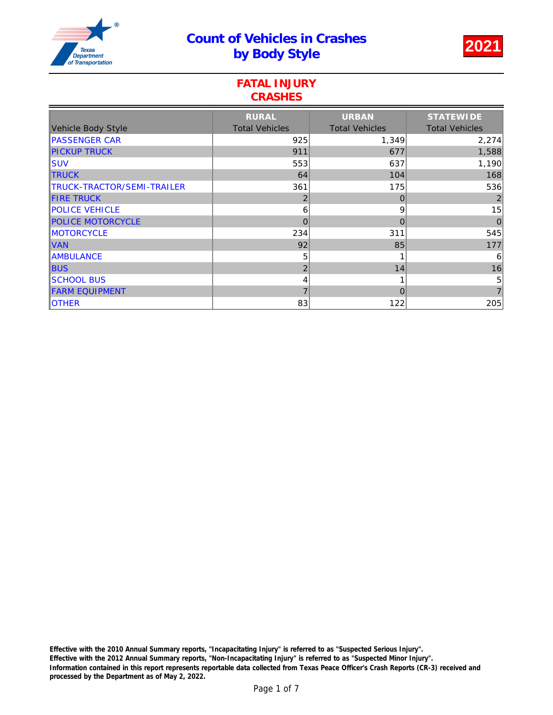# Count of Vehicles in Crashes t Venicles in Crashes<br>by Body Style 2021



### FATAL INJURY **CRASHES**

|                            | <b>RURAL</b>          | <b>URBAN</b>          | <b>STATEWIDE</b>      |
|----------------------------|-----------------------|-----------------------|-----------------------|
| Vehicle Body Style         | <b>Total Vehicles</b> | <b>Total Vehicles</b> | <b>Total Vehicles</b> |
| <b>PASSENGER CAR</b>       | 925                   | 1,349                 | 2,274                 |
| <b>PICKUP TRUCK</b>        | 911                   | 677                   | 1,588                 |
| ISUV                       | 553                   | 637                   | 1,190                 |
| <b>TRUCK</b>               | 64                    | 104                   | 168                   |
| TRUCK-TRACTOR/SEMI-TRAILER | 361                   | 175                   | 536                   |
| <b>FIRE TRUCK</b>          | 2                     | 0                     | $\overline{2}$        |
| <b>POLICE VEHICLE</b>      | 6                     | 9                     | 15                    |
| <b>POLICE MOTORCYCLE</b>   | 0                     | 0                     | $\mathbf 0$           |
| <b>MOTORCYCLE</b>          | 234                   | 311                   | 545                   |
| <b>VAN</b>                 | 92                    | 85                    | 177                   |
| <b>AMBULANCE</b>           | 5                     |                       | 6                     |
| <b>BUS</b>                 | $\overline{2}$        | 14                    | 16                    |
| <b>SCHOOL BUS</b>          | 4                     |                       | $\sqrt{5}$            |
| <b>FARM EQUIPMENT</b>      | 7                     | 0                     | $\overline{7}$        |
| <b>OTHER</b>               | 83                    | 122                   | 205                   |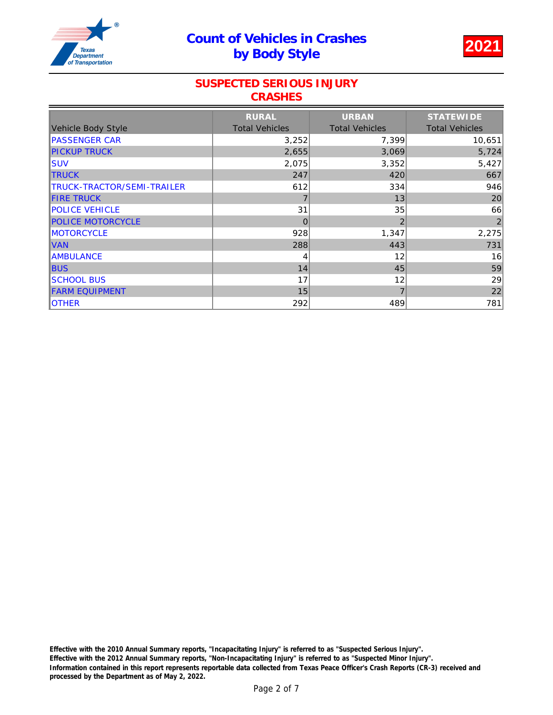

### SUSPECTED SERIOUS INJURY **CRASHES**

|                            | <b>RURAL</b>          | <b>URBAN</b>          | <b>STATEWIDE</b>      |
|----------------------------|-----------------------|-----------------------|-----------------------|
| Vehicle Body Style         | <b>Total Vehicles</b> | <b>Total Vehicles</b> | <b>Total Vehicles</b> |
| <b>PASSENGER CAR</b>       | 3,252                 | 7,399                 | 10,651                |
| <b>PICKUP TRUCK</b>        | 2,655                 | 3,069                 | 5,724                 |
| ISUV                       | 2,075                 | 3,352                 | 5,427                 |
| <b>TRUCK</b>               | 247                   | 420                   | 667                   |
| TRUCK-TRACTOR/SEMI-TRAILER | 612                   | 334                   | 946                   |
| <b>FIRE TRUCK</b>          |                       | 13                    | 20                    |
| <b>POLICE VEHICLE</b>      | 31                    | 35                    | 66                    |
| <b>POLICE MOTORCYCLE</b>   | 0                     | $\overline{2}$        | $\mathbf{2}$          |
| MOTORCYCLE                 | 928                   | 1,347                 | 2,275                 |
| <b>VAN</b>                 | 288                   | 443                   | 731                   |
| <b>AMBULANCE</b>           | 4                     | 12                    | 16                    |
| <b>BUS</b>                 | 14                    | 45                    | 59                    |
| <b>SCHOOL BUS</b>          | 17                    | 12                    | 29                    |
| <b>FARM EQUIPMENT</b>      | 15                    | 7                     | 22                    |
| <b>OTHER</b>               | 292                   | 489                   | 781                   |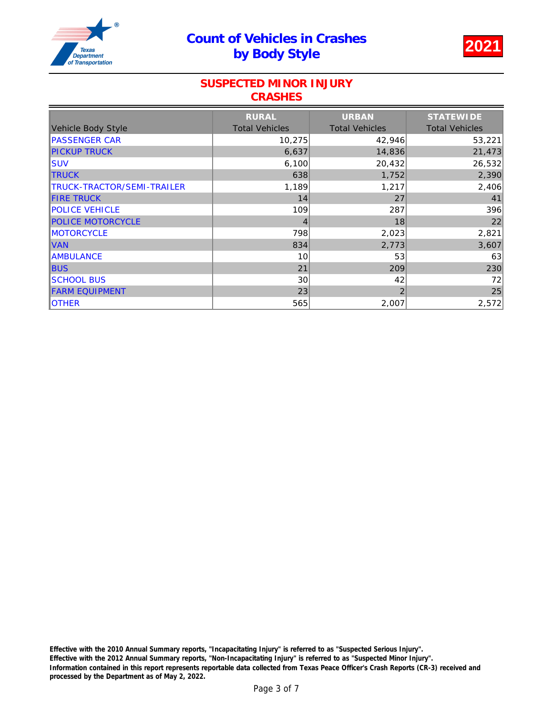

#### SUSPECTED MINOR INJURY **CRASHES**

|                            | <b>RURAL</b>          | <b>URBAN</b>          | <b>STATEWIDE</b>      |
|----------------------------|-----------------------|-----------------------|-----------------------|
| Vehicle Body Style         | <b>Total Vehicles</b> | <b>Total Vehicles</b> | <b>Total Vehicles</b> |
| <b>PASSENGER CAR</b>       | 10,275                | 42,946                | 53,221                |
| <b>PICKUP TRUCK</b>        | 6,637                 | 14,836                | 21,473                |
| <b>SUV</b>                 | 6,100                 | 20,432                | 26,532                |
| <b>TRUCK</b>               | 638                   | 1,752                 | 2,390                 |
| TRUCK-TRACTOR/SEMI-TRAILER | 1,189                 | 1,217                 | 2,406                 |
| <b>FIRE TRUCK</b>          | 14                    | 27                    | 41                    |
| <b>POLICE VEHICLE</b>      | 109                   | 287                   | 396                   |
| <b>POLICE MOTORCYCLE</b>   | 4                     | 18                    | 22                    |
| <b>MOTORCYCLE</b>          | 798                   | 2,023                 | 2,821                 |
| <b>VAN</b>                 | 834                   | 2,773                 | 3,607                 |
| <b>AMBULANCE</b>           | 10                    | 53                    | 63                    |
| <b>BUS</b>                 | 21                    | 209                   | 230                   |
| <b>SCHOOL BUS</b>          | 30                    | 42                    | 72                    |
| <b>FARM EQUIPMENT</b>      | 23                    | $\overline{2}$        | 25                    |
| <b>OTHER</b>               | 565                   | 2,007                 | 2,572                 |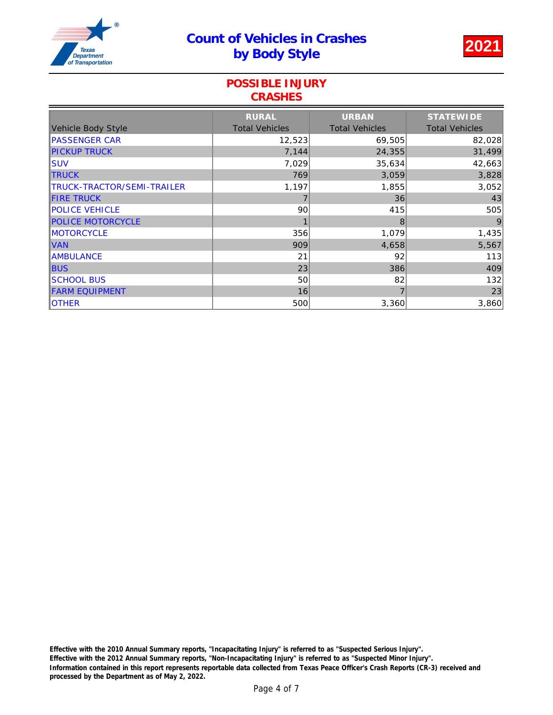

### POSSIBLE INJURY **CRASHES**

|                            | <b>RURAL</b>          | <b>URBAN</b>          | <b>STATEWIDE</b>      |
|----------------------------|-----------------------|-----------------------|-----------------------|
| <b>Vehicle Body Style</b>  | <b>Total Vehicles</b> | <b>Total Vehicles</b> | <b>Total Vehicles</b> |
| <b>PASSENGER CAR</b>       | 12,523                | 69,505                | 82,028                |
| <b>PICKUP TRUCK</b>        | 7,144                 | 24,355                | 31,499                |
| <b>SUV</b>                 | 7,029                 | 35,634                | 42,663                |
| <b>TRUCK</b>               | 769                   | 3,059                 | 3,828                 |
| TRUCK-TRACTOR/SEMI-TRAILER | 1,197                 | 1,855                 | 3,052                 |
| <b>FIRE TRUCK</b>          | 7                     | 36                    | 43                    |
| <b>POLICE VEHICLE</b>      | 90                    | 415                   | 505                   |
| <b>POLICE MOTORCYCLE</b>   |                       | 8                     | 9                     |
| MOTORCYCLE                 | 356                   | 1,079                 | 1,435                 |
| <b>VAN</b>                 | 909                   | 4,658                 | 5,567                 |
| <b>AMBULANCE</b>           | 21                    | 92                    | 113                   |
| <b>BUS</b>                 | 23                    | 386                   | 409                   |
| <b>SCHOOL BUS</b>          | 50                    | 82                    | 132                   |
| <b>FARM EQUIPMENT</b>      | 16                    | 7                     | 23                    |
| <b>OTHER</b>               | 500                   | 3,360                 | 3,860                 |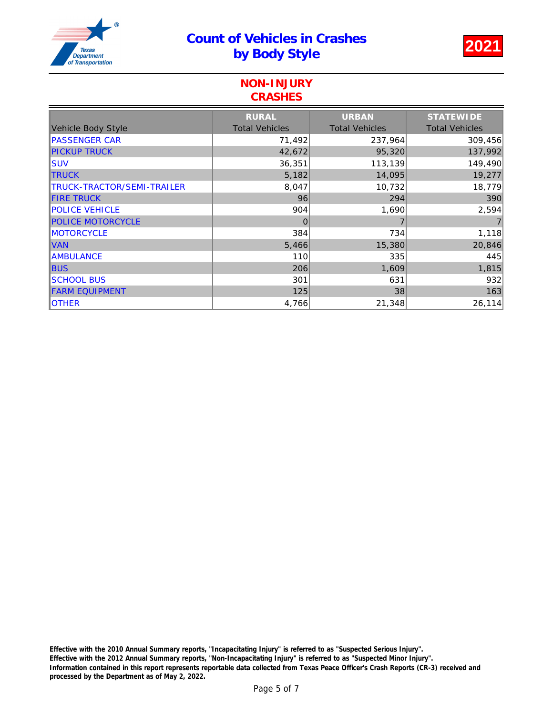

#### NON-INJURY **CRASHES**

|                            | <b>RURAL</b>          | <b>URBAN</b>          | <b>STATEWIDE</b>      |
|----------------------------|-----------------------|-----------------------|-----------------------|
| Vehicle Body Style         | <b>Total Vehicles</b> | <b>Total Vehicles</b> | <b>Total Vehicles</b> |
| <b>PASSENGER CAR</b>       | 71,492                | 237,964               | 309,456               |
| <b>PICKUP TRUCK</b>        | 42,672                | 95,320                | 137,992               |
| <b>SUV</b>                 | 36,351                | 113,139               | 149,490               |
| <b>TRUCK</b>               | 5,182                 | 14,095                | 19,277                |
| TRUCK-TRACTOR/SEMI-TRAILER | 8,047                 | 10,732                | 18,779                |
| <b>FIRE TRUCK</b>          | 96                    | 294                   | 390                   |
| <b>POLICE VEHICLE</b>      | 904                   | 1,690                 | 2,594                 |
| <b>POLICE MOTORCYCLE</b>   | $\mathbf 0$           |                       | $\overline{7}$        |
| MOTORCYCLE                 | 384                   | 734                   | 1,118                 |
| <b>VAN</b>                 | 5,466                 | 15,380                | 20,846                |
| <b>AMBULANCE</b>           | 110                   | 335                   | 445                   |
| <b>BUS</b>                 | 206                   | 1,609                 | 1,815                 |
| <b>SCHOOL BUS</b>          | 301                   | 631                   | 932                   |
| <b>FARM EQUIPMENT</b>      | 125                   | 38                    | 163                   |
| <b>OTHER</b>               | 4,766                 | 21,348                | 26,114                |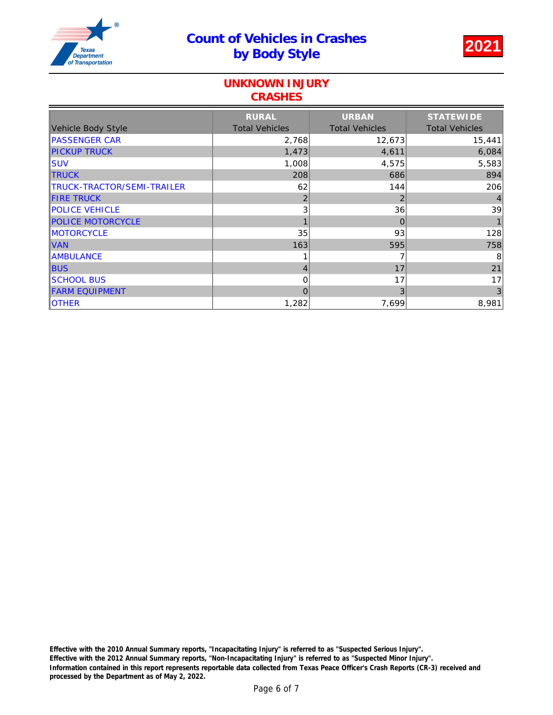

### UNKNOWN INJURY **CRASHES**

|                            | <b>RURAL</b>          | <b>URBAN</b>          | <b>STATEWIDE</b>      |
|----------------------------|-----------------------|-----------------------|-----------------------|
| Vehicle Body Style         | <b>Total Vehicles</b> | <b>Total Vehicles</b> | <b>Total Vehicles</b> |
| <b>PASSENGER CAR</b>       | 2,768                 | 12,673                | 15,441                |
| <b>PICKUP TRUCK</b>        | 1,473                 | 4,611                 | 6,084                 |
| <b>SUV</b>                 | 1,008                 | 4,575                 | 5,583                 |
| <b>TRUCK</b>               | 208                   | 686                   | 894                   |
| TRUCK-TRACTOR/SEMI-TRAILER | 62                    | 144                   | 206                   |
| <b>FIRE TRUCK</b>          | 2                     | 2                     | 4                     |
| <b>POLICE VEHICLE</b>      | 3                     | 36                    | 39                    |
| <b>POLICE MOTORCYCLE</b>   |                       | $\mathbf 0$           |                       |
| <b>MOTORCYCLE</b>          | 35                    | 93                    | 128                   |
| <b>VAN</b>                 | 163                   | 595                   | 758                   |
| <b>AMBULANCE</b>           |                       |                       | 8                     |
| <b>BUS</b>                 | 4                     | 17                    | 21                    |
| <b>SCHOOL BUS</b>          | 0                     | 17                    | 17                    |
| <b>FARM EQUIPMENT</b>      | 0                     | 3                     | $\mathbf{3}$          |
| <b>OTHER</b>               | 1,282                 | 7,699                 | 8,981                 |